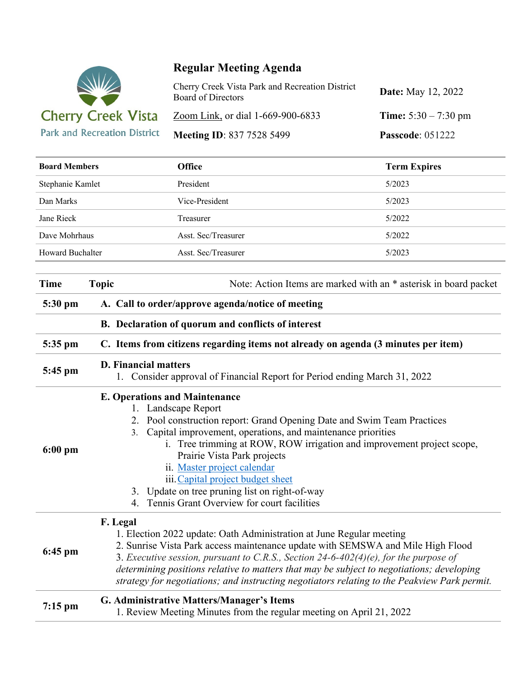

## **Regular Meeting Agenda**

| Cherry Creek Vista Park and Recreation District<br>Board of Directors | <b>Date:</b> May 12, 2022     |
|-----------------------------------------------------------------------|-------------------------------|
| Zoom Link, or dial 1-669-900-6833                                     | <b>Time:</b> $5:30 - 7:30$ pm |
| <b>Meeting ID: 837 7528 5499</b>                                      | <b>Passcode: 051222</b>       |

| <b>Board Members</b> |                                                                                                                                                                                                                                                                                                                                                                                                                                                                                                   | Office              | <b>Term Expires</b> |  |
|----------------------|---------------------------------------------------------------------------------------------------------------------------------------------------------------------------------------------------------------------------------------------------------------------------------------------------------------------------------------------------------------------------------------------------------------------------------------------------------------------------------------------------|---------------------|---------------------|--|
| Stephanie Kamlet     |                                                                                                                                                                                                                                                                                                                                                                                                                                                                                                   | President           | 5/2023              |  |
| Dan Marks            |                                                                                                                                                                                                                                                                                                                                                                                                                                                                                                   | Vice-President      | 5/2023              |  |
| Jane Rieck           |                                                                                                                                                                                                                                                                                                                                                                                                                                                                                                   | Treasurer           | 5/2022              |  |
| Dave Mohrhaus        |                                                                                                                                                                                                                                                                                                                                                                                                                                                                                                   | Asst. Sec/Treasurer | 5/2022              |  |
| Howard Buchalter     |                                                                                                                                                                                                                                                                                                                                                                                                                                                                                                   | Asst. Sec/Treasurer | 5/2023              |  |
| <b>Time</b>          | <b>Topic</b><br>Note: Action Items are marked with an * asterisk in board packet                                                                                                                                                                                                                                                                                                                                                                                                                  |                     |                     |  |
| 5:30 pm              | A. Call to order/approve agenda/notice of meeting                                                                                                                                                                                                                                                                                                                                                                                                                                                 |                     |                     |  |
|                      | B. Declaration of quorum and conflicts of interest                                                                                                                                                                                                                                                                                                                                                                                                                                                |                     |                     |  |
| 5:35 pm              | C. Items from citizens regarding items not already on agenda (3 minutes per item)                                                                                                                                                                                                                                                                                                                                                                                                                 |                     |                     |  |
| 5:45 pm              | <b>D. Financial matters</b><br>1. Consider approval of Financial Report for Period ending March 31, 2022                                                                                                                                                                                                                                                                                                                                                                                          |                     |                     |  |
| $6:00$ pm            | <b>E. Operations and Maintenance</b><br>1. Landscape Report<br>2. Pool construction report: Grand Opening Date and Swim Team Practices<br>Capital improvement, operations, and maintenance priorities<br>3.<br>i. Tree trimming at ROW, ROW irrigation and improvement project scope,<br>Prairie Vista Park projects<br>ii. Master project calendar<br>iii. Capital project budget sheet<br>Update on tree pruning list on right-of-way<br>3.<br>Tennis Grant Overview for court facilities<br>4. |                     |                     |  |
| $6:45$ pm            | F. Legal<br>1. Election 2022 update: Oath Administration at June Regular meeting<br>2. Sunrise Vista Park access maintenance update with SEMSWA and Mile High Flood<br>3. Executive session, pursuant to C.R.S., Section 24-6-402(4)(e), for the purpose of<br>determining positions relative to matters that may be subject to negotiations; developing<br>strategy for negotiations; and instructing negotiators relating to the Peakview Park permit.                                          |                     |                     |  |
| $7:15$ pm            | G. Administrative Matters/Manager's Items<br>1. Review Meeting Minutes from the regular meeting on April 21, 2022                                                                                                                                                                                                                                                                                                                                                                                 |                     |                     |  |